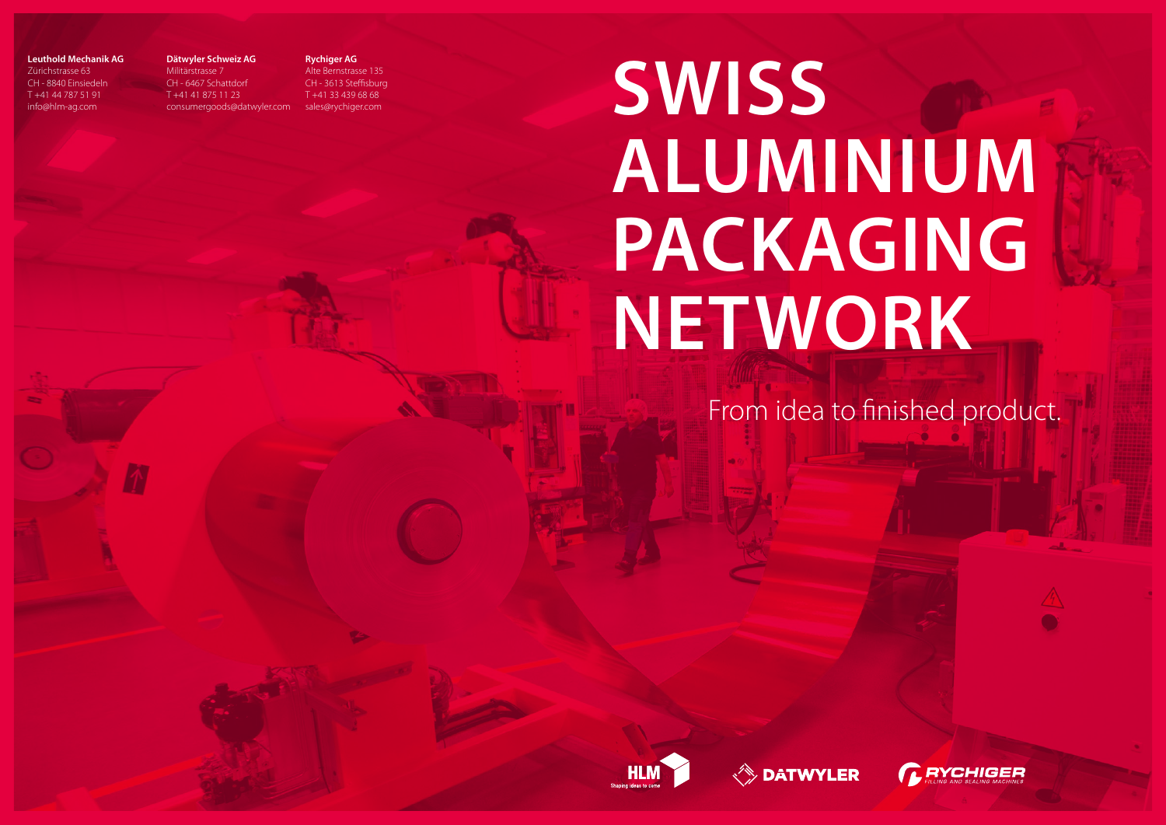# **SWISS ALUMINIUM PACKAGING NETWORK**





## From idea to finished product.



## **Leuthold Mechanik AG**

Zürichstrasse 63 CH - 8840 Einsiedeln T +41 44 787 51 91 info@hlm-ag.com

#### **Dätwyler Schweiz AG**

Militärstrasse 7 CH - 6467 Schattdorf T +41 41 875 11 23 consumergoods@datwyler.com **Rychiger AG** Alte Bernstrasse 135 CH - 3613 Steffisburg T +41 33 439 68 68 sales@rychiger.com